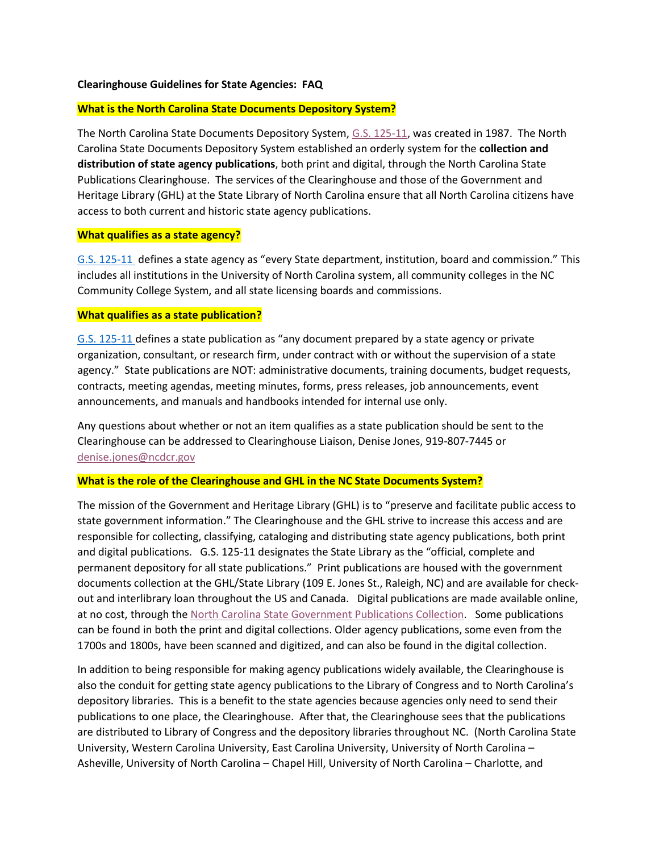#### **Clearinghouse Guidelines for State Agencies: FAQ**

## **What is the North Carolina State Documents Depository System?**

The North Carolina State Documents Depository System, [G.S. 125-11,](http://www.ncleg.net/EnactedLegislation/Statutes/PDF/ByArticle/Chapter_125/Article_1A.pdf) was created in 1987. The North Carolina State Documents Depository System established an orderly system for the **collection and distribution of state agency publications**, both print and digital, through the North Carolina State Publications Clearinghouse. The services of the Clearinghouse and those of the Government and Heritage Library (GHL) at the State Library of North Carolina ensure that all North Carolina citizens have access to both current and historic state agency publications.

#### **What qualifies as a state agency?**

[G.S. 125-11](http://www.ncleg.net/EnactedLegislation/Statutes/PDF/ByArticle/Chapter_125/Article_1A.pdf) defines a state agency as "every State department, institution, board and commission." This includes all institutions in the University of North Carolina system, all community colleges in the NC Community College System, and all state licensing boards and commissions.

## **What qualifies as a state publication?**

[G.S. 125-11](http://www.ncleg.net/EnactedLegislation/Statutes/PDF/ByArticle/Chapter_125/Article_1A.pdf) defines a state publication as "any document prepared by a state agency or private organization, consultant, or research firm, under contract with or without the supervision of a state agency." State publications are NOT: administrative documents, training documents, budget requests, contracts, meeting agendas, meeting minutes, forms, press releases, job announcements, event announcements, and manuals and handbooks intended for internal use only.

Any questions about whether or not an item qualifies as a state publication should be sent to the Clearinghouse can be addressed to Clearinghouse Liaison, Denise Jones, 919-807-7445 or [denise.jones@ncdcr.gov](mailto:denise.jones@ncdcr.gov)

#### **What is the role of the Clearinghouse and GHL in the NC State Documents System?**

The mission of the Government and Heritage Library (GHL) is to "preserve and facilitate public access to state government information." The Clearinghouse and the GHL strive to increase this access and are responsible for collecting, classifying, cataloging and distributing state agency publications, both print and digital publications. G.S. 125-11 designates the State Library as the "official, complete and permanent depository for all state publications." Print publications are housed with the government documents collection at the GHL/State Library (109 E. Jones St., Raleigh, NC) and are available for checkout and interlibrary loan throughout the US and Canada. Digital publications are made available online, at no cost, through the [North Carolina State Government Publications Collection.](http://ncgovdocs.org/) Some publications can be found in both the print and digital collections. Older agency publications, some even from the 1700s and 1800s, have been scanned and digitized, and can also be found in the digital collection.

In addition to being responsible for making agency publications widely available, the Clearinghouse is also the conduit for getting state agency publications to the Library of Congress and to North Carolina's depository libraries. This is a benefit to the state agencies because agencies only need to send their publications to one place, the Clearinghouse. After that, the Clearinghouse sees that the publications are distributed to Library of Congress and the depository libraries throughout NC. (North Carolina State University, Western Carolina University, East Carolina University, University of North Carolina – Asheville, University of North Carolina – Chapel Hill, University of North Carolina – Charlotte, and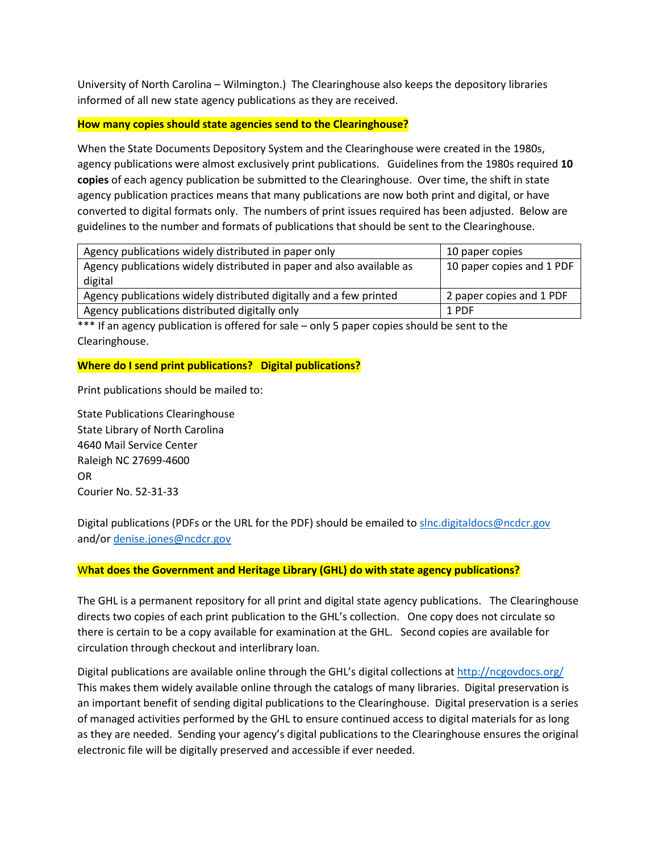University of North Carolina – Wilmington.) The Clearinghouse also keeps the depository libraries informed of all new state agency publications as they are received.

## **How many copies should state agencies send to the Clearinghouse?**

When the State Documents Depository System and the Clearinghouse were created in the 1980s, agency publications were almost exclusively print publications. Guidelines from the 1980s required **10 copies** of each agency publication be submitted to the Clearinghouse. Over time, the shift in state agency publication practices means that many publications are now both print and digital, or have converted to digital formats only. The numbers of print issues required has been adjusted. Below are guidelines to the number and formats of publications that should be sent to the Clearinghouse.

| Agency publications widely distributed in paper only                             | 10 paper copies           |
|----------------------------------------------------------------------------------|---------------------------|
| Agency publications widely distributed in paper and also available as<br>digital | 10 paper copies and 1 PDF |
| Agency publications widely distributed digitally and a few printed               | 2 paper copies and 1 PDF  |
| Agency publications distributed digitally only                                   | 1 PDF                     |

\*\*\* If an agency publication is offered for sale – only 5 paper copies should be sent to the Clearinghouse.

#### **Where do I send print publications? Digital publications?**

Print publications should be mailed to:

State Publications Clearinghouse State Library of North Carolina 4640 Mail Service Center Raleigh NC 27699-4600 OR Courier No. 52-31-33

Digital publications (PDFs or the URL for the PDF) should be emailed to [slnc.digitaldocs@ncdcr.gov](mailto:slnc.digitaldocs@ncdcr.gov) and/or [denise.jones@ncdcr.gov](mailto:denise.jones@ncdcr.gov)

## W**hat does the Government and Heritage Library (GHL) do with state agency publications?**

The GHL is a permanent repository for all print and digital state agency publications. The Clearinghouse directs two copies of each print publication to the GHL's collection. One copy does not circulate so there is certain to be a copy available for examination at the GHL. Second copies are available for circulation through checkout and interlibrary loan.

Digital publications are available online through the GHL's digital collections a[t http://ncgovdocs.org/](http://ncgovdocs.org/)  This makes them widely available online through the catalogs of many libraries. Digital preservation is an important benefit of sending digital publications to the Clearinghouse. Digital preservation is a series of managed activities performed by the GHL to ensure continued access to digital materials for as long as they are needed. Sending your agency's digital publications to the Clearinghouse ensures the original electronic file will be digitally preserved and accessible if ever needed.